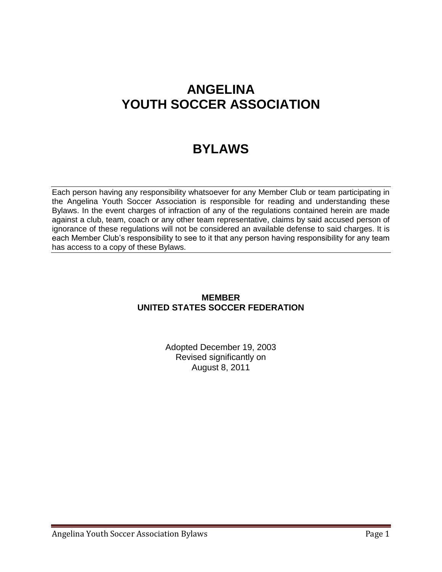# **ANGELINA YOUTH SOCCER ASSOCIATION**

# **BYLAWS**

Each person having any responsibility whatsoever for any Member Club or team participating in the Angelina Youth Soccer Association is responsible for reading and understanding these Bylaws. In the event charges of infraction of any of the regulations contained herein are made against a club, team, coach or any other team representative, claims by said accused person of ignorance of these regulations will not be considered an available defense to said charges. It is each Member Club's responsibility to see to it that any person having responsibility for any team has access to a copy of these Bylaws.

### **MEMBER UNITED STATES SOCCER FEDERATION**

Adopted December 19, 2003 Revised significantly on August 8, 2011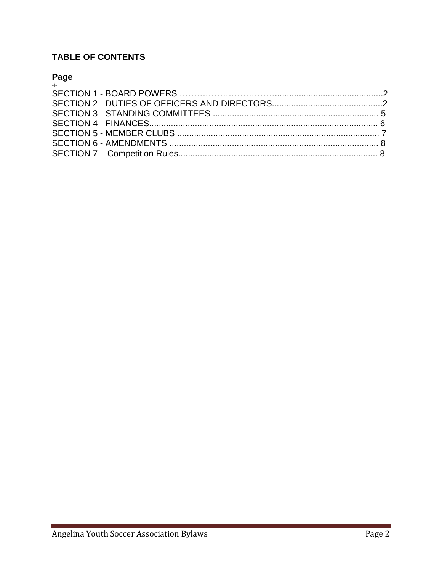## **TABLE OF CONTENTS**

# Page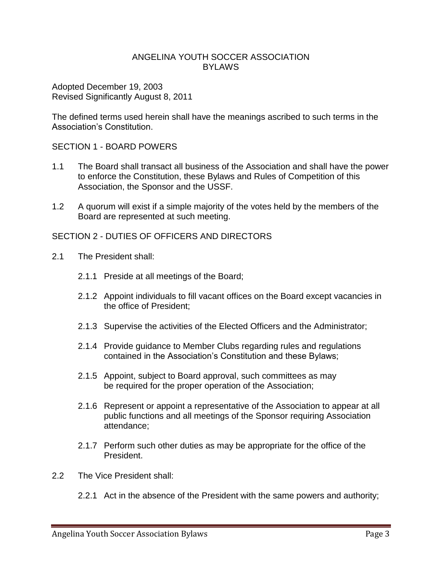#### ANGELINA YOUTH SOCCER ASSOCIATION **BYLAWS**

Adopted December 19, 2003 Revised Significantly August 8, 2011

The defined terms used herein shall have the meanings ascribed to such terms in the Association's Constitution.

#### SECTION 1 - BOARD POWERS

- 1.1 The Board shall transact all business of the Association and shall have the power to enforce the Constitution, these Bylaws and Rules of Competition of this Association, the Sponsor and the USSF.
- 1.2 A quorum will exist if a simple majority of the votes held by the members of the Board are represented at such meeting.

#### SECTION 2 - DUTIES OF OFFICERS AND DIRECTORS

- 2.1 The President shall:
	- 2.1.1 Preside at all meetings of the Board;
	- 2.1.2 Appoint individuals to fill vacant offices on the Board except vacancies in the office of President;
	- 2.1.3 Supervise the activities of the Elected Officers and the Administrator;
	- 2.1.4 Provide guidance to Member Clubs regarding rules and regulations contained in the Association's Constitution and these Bylaws;
	- 2.1.5 Appoint, subject to Board approval, such committees as may be required for the proper operation of the Association;
	- 2.1.6 Represent or appoint a representative of the Association to appear at all public functions and all meetings of the Sponsor requiring Association attendance;
	- 2.1.7 Perform such other duties as may be appropriate for the office of the President.
- 2.2 The Vice President shall:
	- 2.2.1 Act in the absence of the President with the same powers and authority;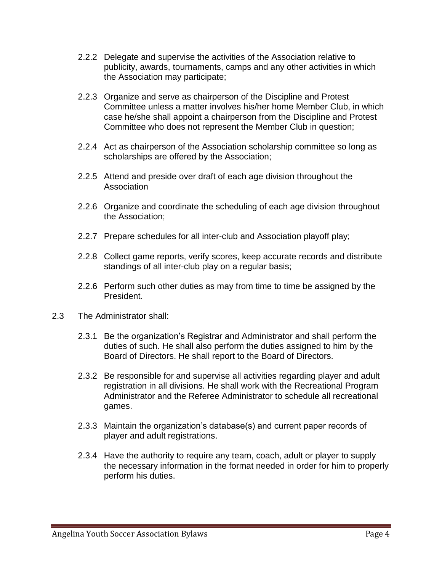- 2.2.2 Delegate and supervise the activities of the Association relative to publicity, awards, tournaments, camps and any other activities in which the Association may participate;
- 2.2.3 Organize and serve as chairperson of the Discipline and Protest Committee unless a matter involves his/her home Member Club, in which case he/she shall appoint a chairperson from the Discipline and Protest Committee who does not represent the Member Club in question;
- 2.2.4 Act as chairperson of the Association scholarship committee so long as scholarships are offered by the Association;
- 2.2.5 Attend and preside over draft of each age division throughout the **Association**
- 2.2.6 Organize and coordinate the scheduling of each age division throughout the Association;
- 2.2.7 Prepare schedules for all inter-club and Association playoff play;
- 2.2.8 Collect game reports, verify scores, keep accurate records and distribute standings of all inter-club play on a regular basis;
- 2.2.6 Perform such other duties as may from time to time be assigned by the President.
- 2.3 The Administrator shall:
	- 2.3.1 Be the organization's Registrar and Administrator and shall perform the duties of such. He shall also perform the duties assigned to him by the Board of Directors. He shall report to the Board of Directors.
	- 2.3.2 Be responsible for and supervise all activities regarding player and adult registration in all divisions. He shall work with the Recreational Program Administrator and the Referee Administrator to schedule all recreational games.
	- 2.3.3 Maintain the organization's database(s) and current paper records of player and adult registrations.
	- 2.3.4 Have the authority to require any team, coach, adult or player to supply the necessary information in the format needed in order for him to properly perform his duties.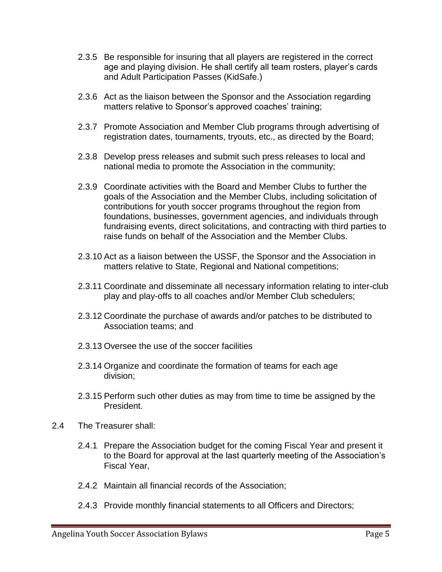- 2.3.5 Be responsible for insuring that all players are registered in the correct age and playing division. He shall certify all team rosters, player's cards and Adult Participation Passes (KidSafe.)
- 2.3.6 Act as the liaison between the Sponsor and the Association regarding matters relative to Sponsor's approved coaches' training;
- 2.3.7 Promote Association and Member Club programs through advertising of registration dates, tournaments, tryouts, etc., as directed by the Board;
- 2.3.8 Develop press releases and submit such press releases to local and national media to promote the Association in the community;
- 2.3.9 Coordinate activities with the Board and Member Clubs to further the goals of the Association and the Member Clubs, including solicitation of contributions for youth soccer programs throughout the region from foundations, businesses, government agencies, and individuals through fundraising events, direct solicitations, and contracting with third parties to raise funds on behalf of the Association and the Member Clubs.
- 2.3.10 Act as a liaison between the USSF, the Sponsor and the Association in matters relative to State, Regional and National competitions;
- 2.3.11 Coordinate and disseminate all necessary information relating to inter-club play and play-offs to all coaches and/or Member Club schedulers;
- 2.3.12 Coordinate the purchase of awards and/or patches to be distributed to Association teams; and
- 2.3.13 Oversee the use of the soccer facilities
- 2.3.14 Organize and coordinate the formation of teams for each age division;
- 2.3.15 Perform such other duties as may from time to time be assigned by the President.
- 2.4 The Treasurer shall:
	- 2.4.1 Prepare the Association budget for the coming Fiscal Year and present it to the Board for approval at the last quarterly meeting of the Association's Fiscal Year,
	- 2.4.2 Maintain all financial records of the Association;
	- 2.4.3 Provide monthly financial statements to all Officers and Directors;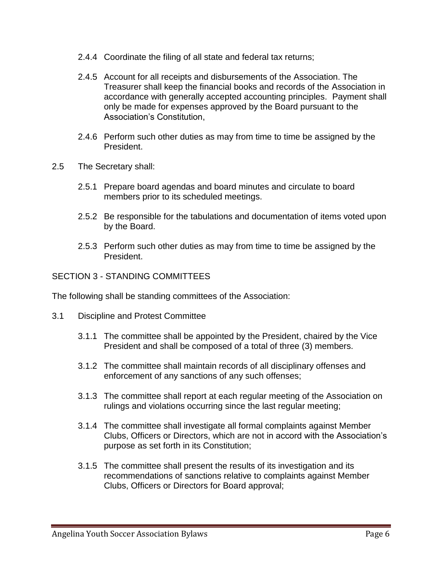- 2.4.4 Coordinate the filing of all state and federal tax returns;
- 2.4.5 Account for all receipts and disbursements of the Association. The Treasurer shall keep the financial books and records of the Association in accordance with generally accepted accounting principles. Payment shall only be made for expenses approved by the Board pursuant to the Association's Constitution,
- 2.4.6 Perform such other duties as may from time to time be assigned by the President.
- 2.5 The Secretary shall:
	- 2.5.1 Prepare board agendas and board minutes and circulate to board members prior to its scheduled meetings.
	- 2.5.2 Be responsible for the tabulations and documentation of items voted upon by the Board.
	- 2.5.3 Perform such other duties as may from time to time be assigned by the President.

SECTION 3 - STANDING COMMITTEES

The following shall be standing committees of the Association:

- 3.1 Discipline and Protest Committee
	- 3.1.1 The committee shall be appointed by the President, chaired by the Vice President and shall be composed of a total of three (3) members.
	- 3.1.2 The committee shall maintain records of all disciplinary offenses and enforcement of any sanctions of any such offenses;
	- 3.1.3 The committee shall report at each regular meeting of the Association on rulings and violations occurring since the last regular meeting;
	- 3.1.4 The committee shall investigate all formal complaints against Member Clubs, Officers or Directors, which are not in accord with the Association's purpose as set forth in its Constitution;
	- 3.1.5 The committee shall present the results of its investigation and its recommendations of sanctions relative to complaints against Member Clubs, Officers or Directors for Board approval;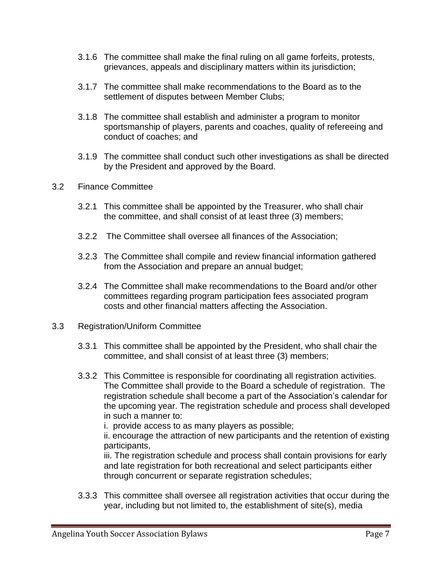- 3.1.6 The committee shall make the final ruling on all game forfeits, protests, grievances, appeals and disciplinary matters within its jurisdiction;
- 3.1.7 The committee shall make recommendations to the Board as to the settlement of disputes between Member Clubs;
- 3.1.8 The committee shall establish and administer a program to monitor sportsmanship of players, parents and coaches, quality of refereeing and conduct of coaches; and
- 3.1.9 The committee shall conduct such other investigations as shall be directed by the President and approved by the Board.
- 3.2 Finance Committee
	- 3.2.1 This committee shall be appointed by the Treasurer, who shall chair the committee, and shall consist of at least three (3) members;
	- 3.2.2 The Committee shall oversee all finances of the Association;
	- 3.2.3 The Committee shall compile and review financial information gathered from the Association and prepare an annual budget;
	- 3.2.4 The Committee shall make recommendations to the Board and/or other committees regarding program participation fees associated program costs and other financial matters affecting the Association.
- 3.3 Registration/Uniform Committee
	- 3.3.1 This committee shall be appointed by the President, who shall chair the committee, and shall consist of at least three (3) members;
	- 3.3.2 This Committee is responsible for coordinating all registration activities. The Committee shall provide to the Board a schedule of registration. The registration schedule shall become a part of the Association's calendar for the upcoming year. The registration schedule and process shall developed in such a manner to:
		- i. provide access to as many players as possible;

ii. encourage the attraction of new participants and the retention of existing participants,

iii. The registration schedule and process shall contain provisions for early and late registration for both recreational and select participants either through concurrent or separate registration schedules;

3.3.3 This committee shall oversee all registration activities that occur during the year, including but not limited to, the establishment of site(s), media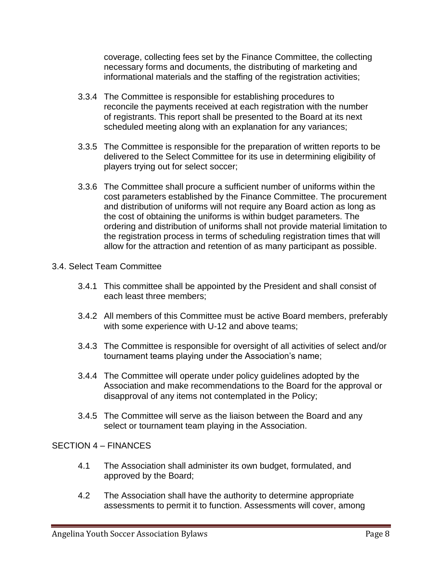coverage, collecting fees set by the Finance Committee, the collecting necessary forms and documents, the distributing of marketing and informational materials and the staffing of the registration activities;

- 3.3.4 The Committee is responsible for establishing procedures to reconcile the payments received at each registration with the number of registrants. This report shall be presented to the Board at its next scheduled meeting along with an explanation for any variances;
- 3.3.5 The Committee is responsible for the preparation of written reports to be delivered to the Select Committee for its use in determining eligibility of players trying out for select soccer;
- 3.3.6 The Committee shall procure a sufficient number of uniforms within the cost parameters established by the Finance Committee. The procurement and distribution of uniforms will not require any Board action as long as the cost of obtaining the uniforms is within budget parameters. The ordering and distribution of uniforms shall not provide material limitation to the registration process in terms of scheduling registration times that will allow for the attraction and retention of as many participant as possible.

#### 3.4. Select Team Committee

- 3.4.1 This committee shall be appointed by the President and shall consist of each least three members;
- 3.4.2 All members of this Committee must be active Board members, preferably with some experience with U-12 and above teams;
- 3.4.3 The Committee is responsible for oversight of all activities of select and/or tournament teams playing under the Association's name;
- 3.4.4 The Committee will operate under policy guidelines adopted by the Association and make recommendations to the Board for the approval or disapproval of any items not contemplated in the Policy;
- 3.4.5 The Committee will serve as the liaison between the Board and any select or tournament team playing in the Association.

### SECTION 4 – FINANCES

- 4.1 The Association shall administer its own budget, formulated, and approved by the Board;
- 4.2 The Association shall have the authority to determine appropriate assessments to permit it to function. Assessments will cover, among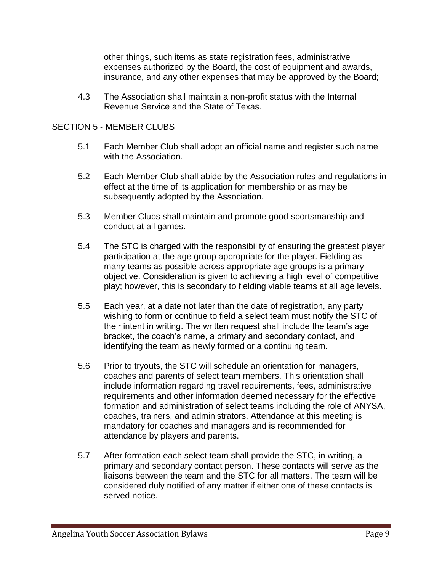other things, such items as state registration fees, administrative expenses authorized by the Board, the cost of equipment and awards, insurance, and any other expenses that may be approved by the Board;

4.3 The Association shall maintain a non-profit status with the Internal Revenue Service and the State of Texas.

#### SECTION 5 - MEMBER CLUBS

- 5.1 Each Member Club shall adopt an official name and register such name with the Association.
- 5.2 Each Member Club shall abide by the Association rules and regulations in effect at the time of its application for membership or as may be subsequently adopted by the Association.
- 5.3 Member Clubs shall maintain and promote good sportsmanship and conduct at all games.
- 5.4 The STC is charged with the responsibility of ensuring the greatest player participation at the age group appropriate for the player. Fielding as many teams as possible across appropriate age groups is a primary objective. Consideration is given to achieving a high level of competitive play; however, this is secondary to fielding viable teams at all age levels.
- 5.5 Each year, at a date not later than the date of registration, any party wishing to form or continue to field a select team must notify the STC of their intent in writing. The written request shall include the team's age bracket, the coach's name, a primary and secondary contact, and identifying the team as newly formed or a continuing team.
- 5.6 Prior to tryouts, the STC will schedule an orientation for managers, coaches and parents of select team members. This orientation shall include information regarding travel requirements, fees, administrative requirements and other information deemed necessary for the effective formation and administration of select teams including the role of ANYSA, coaches, trainers, and administrators. Attendance at this meeting is mandatory for coaches and managers and is recommended for attendance by players and parents.
- 5.7 After formation each select team shall provide the STC, in writing, a primary and secondary contact person. These contacts will serve as the liaisons between the team and the STC for all matters. The team will be considered duly notified of any matter if either one of these contacts is served notice.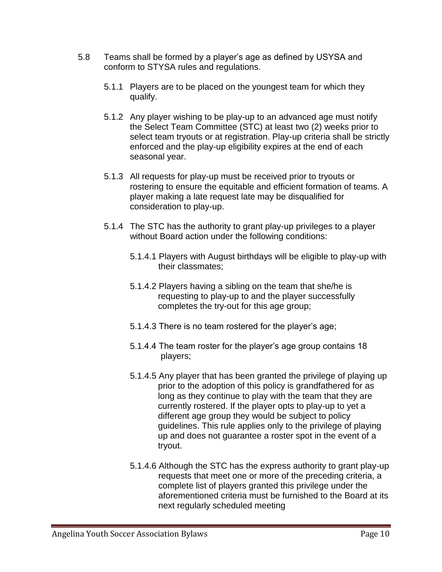- 5.8 Teams shall be formed by a player's age as defined by USYSA and conform to STYSA rules and regulations.
	- 5.1.1 Players are to be placed on the youngest team for which they qualify.
	- 5.1.2 Any player wishing to be play-up to an advanced age must notify the Select Team Committee (STC) at least two (2) weeks prior to select team tryouts or at registration. Play-up criteria shall be strictly enforced and the play-up eligibility expires at the end of each seasonal year.
	- 5.1.3 All requests for play-up must be received prior to tryouts or rostering to ensure the equitable and efficient formation of teams. A player making a late request late may be disqualified for consideration to play-up.
	- 5.1.4 The STC has the authority to grant play-up privileges to a player without Board action under the following conditions:
		- 5.1.4.1 Players with August birthdays will be eligible to play-up with their classmates;
		- 5.1.4.2 Players having a sibling on the team that she/he is requesting to play-up to and the player successfully completes the try-out for this age group;
		- 5.1.4.3 There is no team rostered for the player's age;
		- 5.1.4.4 The team roster for the player's age group contains 18 players;
		- 5.1.4.5 Any player that has been granted the privilege of playing up prior to the adoption of this policy is grandfathered for as long as they continue to play with the team that they are currently rostered. If the player opts to play-up to yet a different age group they would be subject to policy guidelines. This rule applies only to the privilege of playing up and does not guarantee a roster spot in the event of a tryout.
		- 5.1.4.6 Although the STC has the express authority to grant play-up requests that meet one or more of the preceding criteria, a complete list of players granted this privilege under the aforementioned criteria must be furnished to the Board at its next regularly scheduled meeting